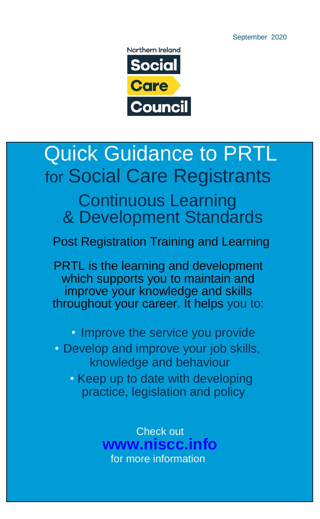September 2020

Northern Ireland **Social Care Council** 

# Quick Guidance to PRTL for Social Care Registrants

### Continuous Learning & Development Standards

Post Registration Training and Learning

PRTL is the learning and development which supports you to maintain and improve your knowledge and skills throughout your career. It helps you to:

• Improve the service you provide

• Develop and improve your job skills, knowledge and behaviour

• Keep up to date with developing practice, legislation and policy

> Check out **www.niscc.info** for more information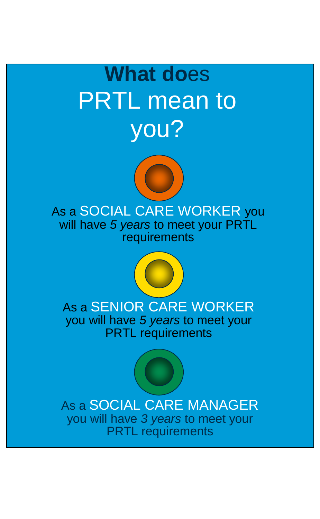# **What do**es PRTL mean to you?



As a SOCIAL CARE WORKER you will have *5 years* to meet your PRTL requirements



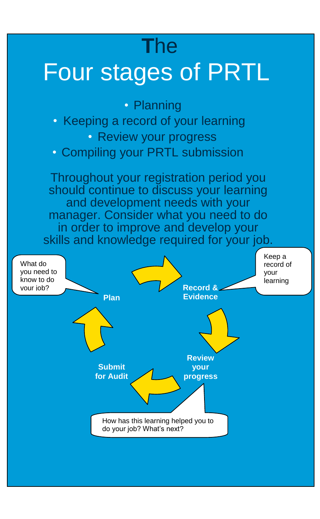## **T**he

# Four stages of PRTL

• Planning • Keeping a record of your learning • Review your progress • Compiling your PRTL submission Throughout your registration period you should continue to discuss your learning and development needs with your manager. Consider what you need to do in order to improve and develop your skills and knowledge required for your job. Keep a

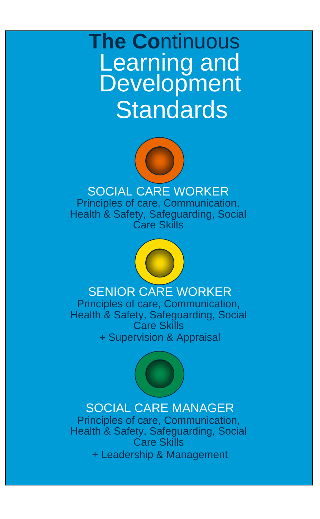**The Co**ntinuous **Learning and Development Standards** 



#### SOCIAL CARE WORKER

Principles of care, Communication, Health & Safety, Safeguarding, Social Care Skills



#### SENIOR CARE WORKER

Principles of care, Communication, Health & Safety, Safeguarding, Social Care Skills + Supervision & Appraisal



#### SOCIAL CARE MANAGER

Principles of care, Communication, Health & Safety, Safeguarding, Social Care Skills + Leadership & Management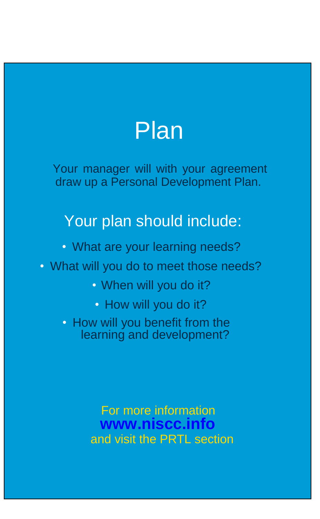

Your manager will with your agreement draw up a Personal Development Plan.

### Your plan should include:

- What are your learning needs?
- What will you do to meet those needs?
	- When will you do it?
	- How will you do it?

• How will you benefit from the learning and development?

> For more information **www.niscc.info** and visit the PRTL section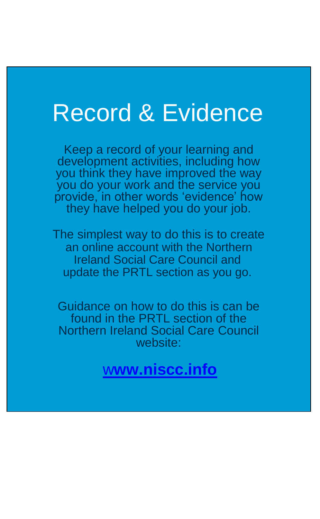# Record & Evidence

Keep a record of your learning and development activities, including how you think they have improved the way you do your work and the service you provide, in other words 'evidence' how they have helped you do your job.

The simplest way to do this is to create an online account with the Northern Ireland Social Care Council and update the PRTL section as you go.

Guidance on how to do this is can be found in the PRTL section of the Northern Ireland Social Care Council website:

w**[ww.niscc.info](http://www.niscc.info/)**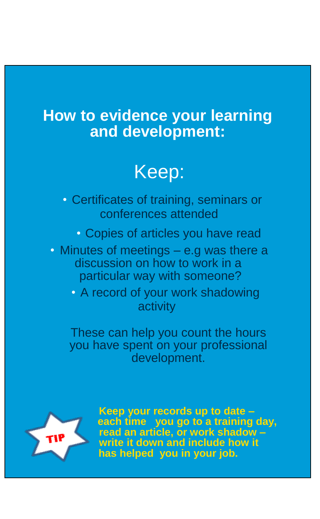### **How to evidence your learning and development:**

## Keep:

- Certificates of training, seminars or conferences attended
	- Copies of articles you have read
- Minutes of meetings e.g was there a discussion on how to work in a particular way with someone?
	- A record of your work shadowing activity

These can help you count the hours you have spent on your professional development.



**Keep your records up to date – each time you go to a training day, read an article, or work shadow – write it down and include how it has helped you in your job.**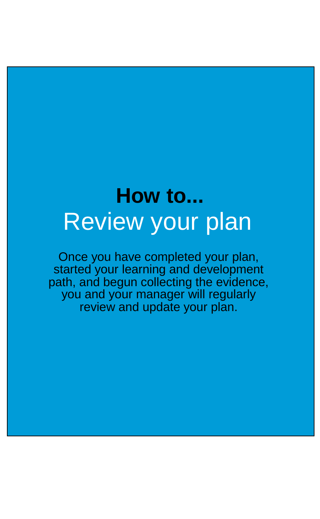# **How to...** Review your plan

Once you have completed your plan, started your learning and development path, and begun collecting the evidence, you and your manager will regularly review and update your plan.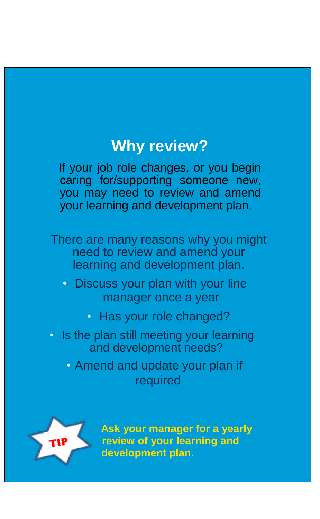### **Why review?**

If your job role changes, or you begin caring for/supporting someone new, you may need to review and amend your learning and development plan.

There are many reasons why you might need to review and amend your learning and development plan.

- Discuss your plan with your line manager once a year
	- Has your role changed?
- Is the plan still meeting your learning and development needs?

• Amend and update your plan if required



**Ask your manager for a yearly review of your learning and development plan.**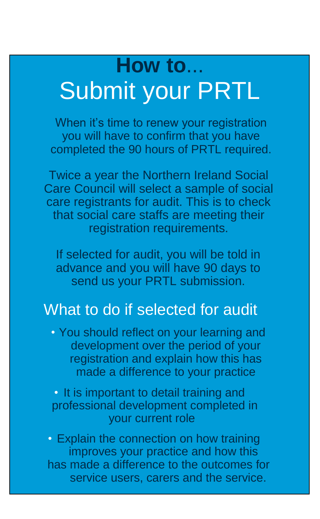# **How to**... Submit your PRTL

When it's time to renew your registration you will have to confirm that you have completed the 90 hours of PRTL required.

Twice a year the Northern Ireland Social Care Council will select a sample of social care registrants for audit. This is to check that social care staffs are meeting their registration requirements.

If selected for audit, you will be told in advance and you will have 90 days to send us your PRTL submission.

### What to do if selected for audit

• You should reflect on your learning and development over the period of your registration and explain how this has made a difference to your practice

• It is important to detail training and professional development completed in your current role

• Explain the connection on how training improves your practice and how this has made a difference to the outcomes for service users, carers and the service.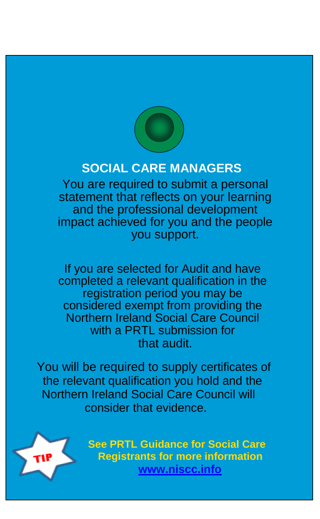

#### **SOCIAL CARE MANAGERS**

You are required to submit a personal statement that reflects on your learning and the professional development impact achieved for you and the people you support.

If you are selected for Audit and have completed a relevant qualification in the registration period you may be considered exempt from providing the Northern Ireland Social Care Council with a PRTL submission for that audit.

 You will be required to supply certificates of the relevant qualification you hold and the Northern Ireland Social Care Council will consider that evidence.



**See PRTL Guidance for Social Care Registrants for more information [www.niscc.info](http://www.niscc.info/)**